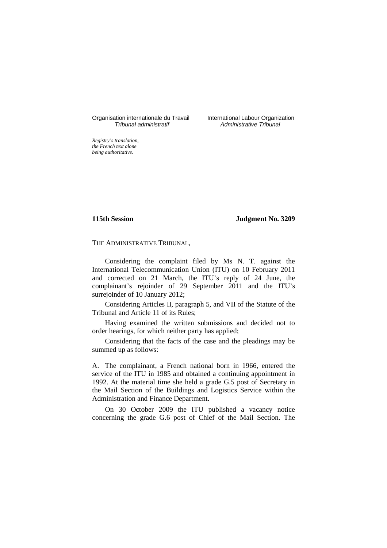# Organisation internationale du Travail International Labour Organization<br>*Tribunal administratif* Administrative Tribunal

Administrative Tribunal

*Registry's translation, the French text alone being authoritative.*

**115th Session Judgment No. 3209**

THE ADMINISTRATIVE TRIBUNAL,

Considering the complaint filed by Ms N. T. against the International Telecommunication Union (ITU) on 10 February 2011 and corrected on 21 March, the ITU's reply of 24 June, the complainant's rejoinder of 29 September 2011 and the ITU's surrejoinder of 10 January 2012;

Considering Articles II, paragraph 5, and VII of the Statute of the Tribunal and Article 11 of its Rules;

Having examined the written submissions and decided not to order hearings, for which neither party has applied;

Considering that the facts of the case and the pleadings may be summed up as follows:

A. The complainant, a French national born in 1966, entered the service of the ITU in 1985 and obtained a continuing appointment in 1992. At the material time she held a grade G.5 post of Secretary in the Mail Section of the Buildings and Logistics Service within the Administration and Finance Department.

On 30 October 2009 the ITU published a vacancy notice concerning the grade G.6 post of Chief of the Mail Section. The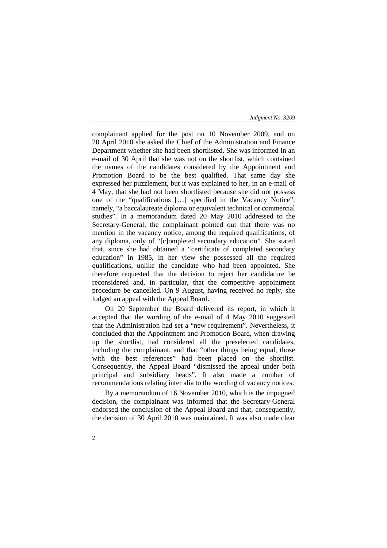complainant applied for the post on 10 November 2009, and on 20 April 2010 she asked the Chief of the Administration and Finance Department whether she had been shortlisted. She was informed in an e-mail of 30 April that she was not on the shortlist, which contained the names of the candidates considered by the Appointment and Promotion Board to be the best qualified. That same day she expressed her puzzlement, but it was explained to her, in an e-mail of 4 May, that she had not been shortlisted because she did not possess one of the "qualifications […] specified in the Vacancy Notice", namely, "a baccalaureate diploma or equivalent technical or commercial studies". In a memorandum dated 20 May 2010 addressed to the Secretary-General, the complainant pointed out that there was no mention in the vacancy notice, among the required qualifications, of any diploma, only of "[c]ompleted secondary education". She stated that, since she had obtained a "certificate of completed secondary education" in 1985, in her view she possessed all the required qualifications, unlike the candidate who had been appointed. She therefore requested that the decision to reject her candidature be reconsidered and, in particular, that the competitive appointment procedure be cancelled. On 9 August, having received no reply, she lodged an appeal with the Appeal Board.

On 20 September the Board delivered its report, in which it accepted that the wording of the e-mail of 4 May 2010 suggested that the Administration had set a "new requirement". Nevertheless, it concluded that the Appointment and Promotion Board, when drawing up the shortlist, had considered all the preselected candidates, including the complainant, and that "other things being equal, those with the best references" had been placed on the shortlist. Consequently, the Appeal Board "dismissed the appeal under both principal and subsidiary heads". It also made a number of recommendations relating inter alia to the wording of vacancy notices.

By a memorandum of 16 November 2010, which is the impugned decision, the complainant was informed that the Secretary-General endorsed the conclusion of the Appeal Board and that, consequently, the decision of 30 April 2010 was maintained. It was also made clear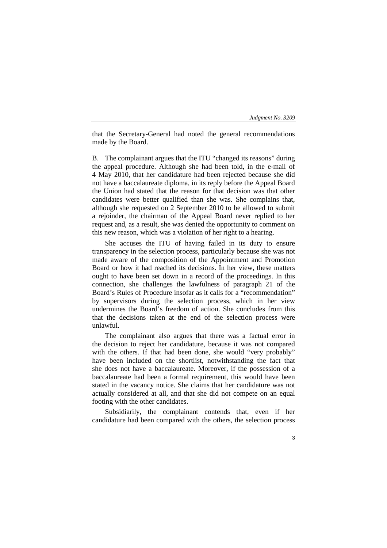that the Secretary-General had noted the general recommendations made by the Board.

B. The complainant argues that the ITU "changed its reasons" during the appeal procedure. Although she had been told, in the e-mail of 4 May 2010, that her candidature had been rejected because she did not have a baccalaureate diploma, in its reply before the Appeal Board the Union had stated that the reason for that decision was that other candidates were better qualified than she was. She complains that, although she requested on 2 September 2010 to be allowed to submit a rejoinder, the chairman of the Appeal Board never replied to her request and, as a result, she was denied the opportunity to comment on this new reason, which was a violation of her right to a hearing.

She accuses the ITU of having failed in its duty to ensure transparency in the selection process, particularly because she was not made aware of the composition of the Appointment and Promotion Board or how it had reached its decisions. In her view, these matters ought to have been set down in a record of the proceedings. In this connection, she challenges the lawfulness of paragraph 21 of the Board's Rules of Procedure insofar as it calls for a "recommendation" by supervisors during the selection process, which in her view undermines the Board's freedom of action. She concludes from this that the decisions taken at the end of the selection process were unlawful.

The complainant also argues that there was a factual error in the decision to reject her candidature, because it was not compared with the others. If that had been done, she would "very probably" have been included on the shortlist, notwithstanding the fact that she does not have a baccalaureate. Moreover, if the possession of a baccalaureate had been a formal requirement, this would have been stated in the vacancy notice. She claims that her candidature was not actually considered at all, and that she did not compete on an equal footing with the other candidates.

Subsidiarily, the complainant contends that, even if her candidature had been compared with the others, the selection process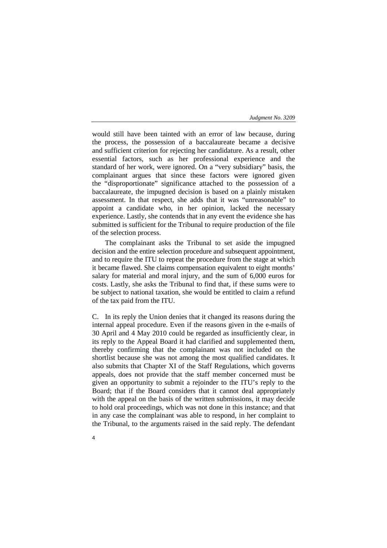would still have been tainted with an error of law because, during the process, the possession of a baccalaureate became a decisive and sufficient criterion for rejecting her candidature. As a result, other essential factors, such as her professional experience and the standard of her work, were ignored. On a "very subsidiary" basis, the complainant argues that since these factors were ignored given the "disproportionate" significance attached to the possession of a baccalaureate, the impugned decision is based on a plainly mistaken assessment. In that respect, she adds that it was "unreasonable" to appoint a candidate who, in her opinion, lacked the necessary experience. Lastly, she contends that in any event the evidence she has submitted is sufficient for the Tribunal to require production of the file of the selection process.

The complainant asks the Tribunal to set aside the impugned decision and the entire selection procedure and subsequent appointment, and to require the ITU to repeat the procedure from the stage at which it became flawed. She claims compensation equivalent to eight months' salary for material and moral injury, and the sum of 6,000 euros for costs. Lastly, she asks the Tribunal to find that, if these sums were to be subject to national taxation, she would be entitled to claim a refund of the tax paid from the ITU.

C. In its reply the Union denies that it changed its reasons during the internal appeal procedure. Even if the reasons given in the e-mails of 30 April and 4 May 2010 could be regarded as insufficiently clear, in its reply to the Appeal Board it had clarified and supplemented them, thereby confirming that the complainant was not included on the shortlist because she was not among the most qualified candidates. It also submits that Chapter XI of the Staff Regulations, which governs appeals, does not provide that the staff member concerned must be given an opportunity to submit a rejoinder to the ITU's reply to the Board; that if the Board considers that it cannot deal appropriately with the appeal on the basis of the written submissions, it may decide to hold oral proceedings, which was not done in this instance; and that in any case the complainant was able to respond, in her complaint to the Tribunal, to the arguments raised in the said reply. The defendant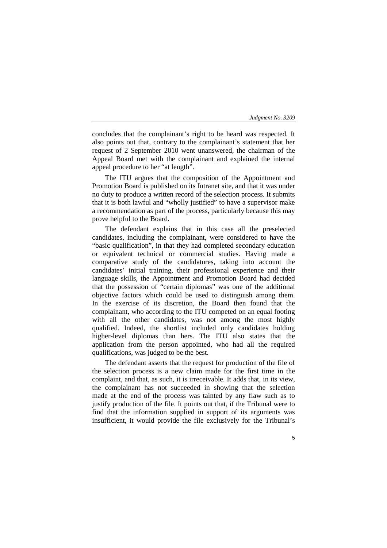concludes that the complainant's right to be heard was respected. It also points out that, contrary to the complainant's statement that her request of 2 September 2010 went unanswered, the chairman of the Appeal Board met with the complainant and explained the internal appeal procedure to her "at length".

The ITU argues that the composition of the Appointment and Promotion Board is published on its Intranet site, and that it was under no duty to produce a written record of the selection process. It submits that it is both lawful and "wholly justified" to have a supervisor make a recommendation as part of the process, particularly because this may prove helpful to the Board.

The defendant explains that in this case all the preselected candidates, including the complainant, were considered to have the "basic qualification", in that they had completed secondary education or equivalent technical or commercial studies. Having made a comparative study of the candidatures, taking into account the candidates' initial training, their professional experience and their language skills, the Appointment and Promotion Board had decided that the possession of "certain diplomas" was one of the additional objective factors which could be used to distinguish among them. In the exercise of its discretion, the Board then found that the complainant, who according to the ITU competed on an equal footing with all the other candidates, was not among the most highly qualified. Indeed, the shortlist included only candidates holding higher-level diplomas than hers. The ITU also states that the application from the person appointed, who had all the required qualifications, was judged to be the best.

The defendant asserts that the request for production of the file of the selection process is a new claim made for the first time in the complaint, and that, as such, it is irreceivable. It adds that, in its view, the complainant has not succeeded in showing that the selection made at the end of the process was tainted by any flaw such as to justify production of the file. It points out that, if the Tribunal were to find that the information supplied in support of its arguments was insufficient, it would provide the file exclusively for the Tribunal's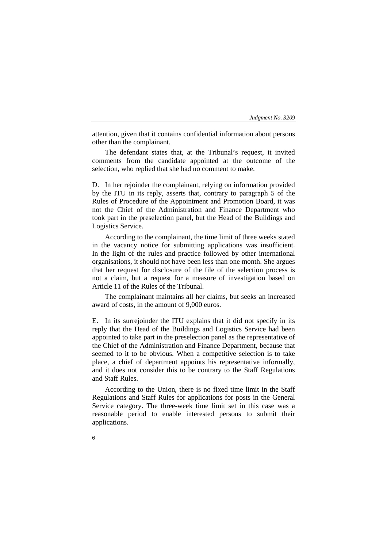attention, given that it contains confidential information about persons other than the complainant.

The defendant states that, at the Tribunal's request, it invited comments from the candidate appointed at the outcome of the selection, who replied that she had no comment to make.

D. In her rejoinder the complainant, relying on information provided by the ITU in its reply, asserts that, contrary to paragraph 5 of the Rules of Procedure of the Appointment and Promotion Board, it was not the Chief of the Administration and Finance Department who took part in the preselection panel, but the Head of the Buildings and Logistics Service.

According to the complainant, the time limit of three weeks stated in the vacancy notice for submitting applications was insufficient. In the light of the rules and practice followed by other international organisations, it should not have been less than one month. She argues that her request for disclosure of the file of the selection process is not a claim, but a request for a measure of investigation based on Article 11 of the Rules of the Tribunal.

The complainant maintains all her claims, but seeks an increased award of costs, in the amount of 9,000 euros.

E. In its surrejoinder the ITU explains that it did not specify in its reply that the Head of the Buildings and Logistics Service had been appointed to take part in the preselection panel as the representative of the Chief of the Administration and Finance Department, because that seemed to it to be obvious. When a competitive selection is to take place, a chief of department appoints his representative informally, and it does not consider this to be contrary to the Staff Regulations and Staff Rules.

According to the Union, there is no fixed time limit in the Staff Regulations and Staff Rules for applications for posts in the General Service category. The three-week time limit set in this case was a reasonable period to enable interested persons to submit their applications.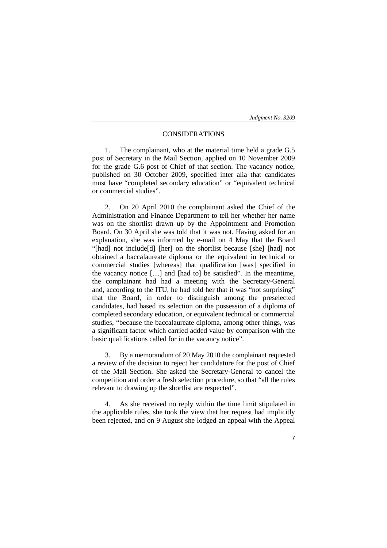# CONSIDERATIONS

1. The complainant, who at the material time held a grade G.5 post of Secretary in the Mail Section, applied on 10 November 2009 for the grade G.6 post of Chief of that section. The vacancy notice, published on 30 October 2009, specified inter alia that candidates must have "completed secondary education" or "equivalent technical or commercial studies".

2. On 20 April 2010 the complainant asked the Chief of the Administration and Finance Department to tell her whether her name was on the shortlist drawn up by the Appointment and Promotion Board. On 30 April she was told that it was not. Having asked for an explanation, she was informed by e-mail on 4 May that the Board "[had] not include[d] [her] on the shortlist because [she] [had] not obtained a baccalaureate diploma or the equivalent in technical or commercial studies [whereas] that qualification [was] specified in the vacancy notice […] and [had to] be satisfied". In the meantime, the complainant had had a meeting with the Secretary-General and, according to the ITU, he had told her that it was "not surprising" that the Board, in order to distinguish among the preselected candidates, had based its selection on the possession of a diploma of completed secondary education, or equivalent technical or commercial studies, "because the baccalaureate diploma, among other things, was a significant factor which carried added value by comparison with the basic qualifications called for in the vacancy notice".

3. By a memorandum of 20 May 2010 the complainant requested a review of the decision to reject her candidature for the post of Chief of the Mail Section. She asked the Secretary-General to cancel the competition and order a fresh selection procedure, so that "all the rules relevant to drawing up the shortlist are respected".

4. As she received no reply within the time limit stipulated in the applicable rules, she took the view that her request had implicitly been rejected, and on 9 August she lodged an appeal with the Appeal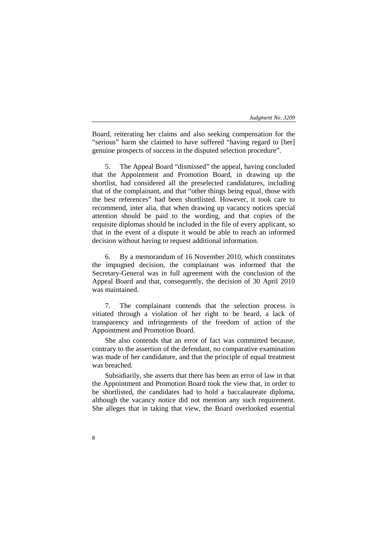Board, reiterating her claims and also seeking compensation for the "serious" harm she claimed to have suffered "having regard to [her] genuine prospects of success in the disputed selection procedure".

5. The Appeal Board "dismissed" the appeal, having concluded that the Appointment and Promotion Board, in drawing up the shortlist, had considered all the preselected candidatures, including that of the complainant, and that "other things being equal, those with the best references" had been shortlisted. However, it took care to recommend, inter alia, that when drawing up vacancy notices special attention should be paid to the wording, and that copies of the requisite diplomas should be included in the file of every applicant, so that in the event of a dispute it would be able to reach an informed decision without having to request additional information.

6. By a memorandum of 16 November 2010, which constitutes the impugned decision, the complainant was informed that the Secretary-General was in full agreement with the conclusion of the Appeal Board and that, consequently, the decision of 30 April 2010 was maintained.

7. The complainant contends that the selection process is vitiated through a violation of her right to be heard, a lack of transparency and infringements of the freedom of action of the Appointment and Promotion Board.

She also contends that an error of fact was committed because, contrary to the assertion of the defendant, no comparative examination was made of her candidature, and that the principle of equal treatment was breached.

Subsidiarily, she asserts that there has been an error of law in that the Appointment and Promotion Board took the view that, in order to be shortlisted, the candidates had to hold a baccalaureate diploma, although the vacancy notice did not mention any such requirement. She alleges that in taking that view, the Board overlooked essential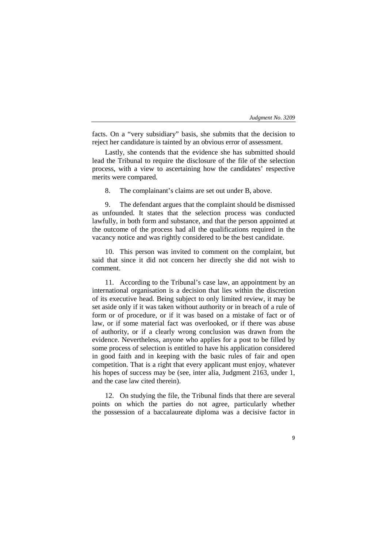facts. On a "very subsidiary" basis, she submits that the decision to reject her candidature is tainted by an obvious error of assessment.

Lastly, she contends that the evidence she has submitted should lead the Tribunal to require the disclosure of the file of the selection process, with a view to ascertaining how the candidates' respective merits were compared.

8. The complainant's claims are set out under B, above.

9. The defendant argues that the complaint should be dismissed as unfounded. It states that the selection process was conducted lawfully, in both form and substance, and that the person appointed at the outcome of the process had all the qualifications required in the vacancy notice and was rightly considered to be the best candidate.

10. This person was invited to comment on the complaint, but said that since it did not concern her directly she did not wish to comment.

11. According to the Tribunal's case law, an appointment by an international organisation is a decision that lies within the discretion of its executive head. Being subject to only limited review, it may be set aside only if it was taken without authority or in breach of a rule of form or of procedure, or if it was based on a mistake of fact or of law, or if some material fact was overlooked, or if there was abuse of authority, or if a clearly wrong conclusion was drawn from the evidence. Nevertheless, anyone who applies for a post to be filled by some process of selection is entitled to have his application considered in good faith and in keeping with the basic rules of fair and open competition. That is a right that every applicant must enjoy, whatever his hopes of success may be (see, inter alia, Judgment 2163, under 1, and the case law cited therein).

12. On studying the file, the Tribunal finds that there are several points on which the parties do not agree, particularly whether the possession of a baccalaureate diploma was a decisive factor in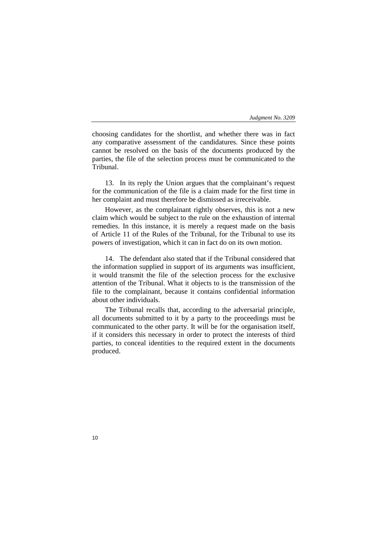choosing candidates for the shortlist, and whether there was in fact any comparative assessment of the candidatures. Since these points cannot be resolved on the basis of the documents produced by the parties, the file of the selection process must be communicated to the Tribunal.

13. In its reply the Union argues that the complainant's request for the communication of the file is a claim made for the first time in her complaint and must therefore be dismissed as irreceivable.

However, as the complainant rightly observes, this is not a new claim which would be subject to the rule on the exhaustion of internal remedies. In this instance, it is merely a request made on the basis of Article 11 of the Rules of the Tribunal, for the Tribunal to use its powers of investigation, which it can in fact do on its own motion.

14. The defendant also stated that if the Tribunal considered that the information supplied in support of its arguments was insufficient, it would transmit the file of the selection process for the exclusive attention of the Tribunal. What it objects to is the transmission of the file to the complainant, because it contains confidential information about other individuals.

The Tribunal recalls that, according to the adversarial principle, all documents submitted to it by a party to the proceedings must be communicated to the other party. It will be for the organisation itself, if it considers this necessary in order to protect the interests of third parties, to conceal identities to the required extent in the documents produced.